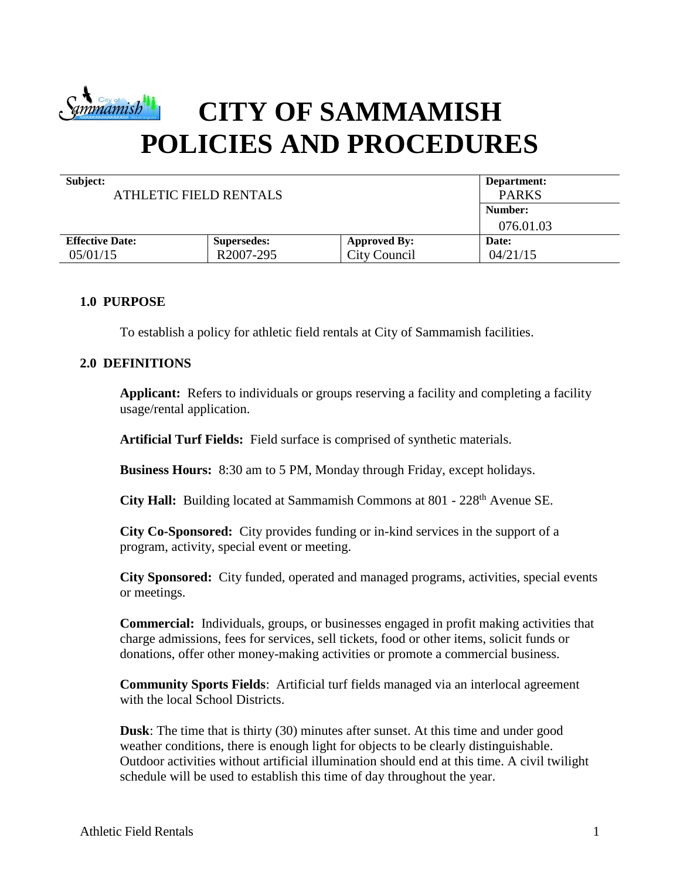

# **CITY OF SAMMAMISH POLICIES AND PROCEDURES**

| Subject:<br><b>ATHLETIC FIELD RENTALS</b> | Department:<br><b>PARKS</b> |                     |           |  |
|-------------------------------------------|-----------------------------|---------------------|-----------|--|
|                                           |                             |                     | Number:   |  |
|                                           |                             |                     | 076.01.03 |  |
| <b>Effective Date:</b>                    | <b>Supersedes:</b>          | <b>Approved By:</b> | Date:     |  |
| 05/01/15                                  | R <sub>2007</sub> -295      | City Council        | 04/21/15  |  |

## **1.0 PURPOSE**

To establish a policy for athletic field rentals at City of Sammamish facilities.

## **2.0 DEFINITIONS**

**Applicant:** Refers to individuals or groups reserving a facility and completing a facility usage/rental application.

**Artificial Turf Fields:** Field surface is comprised of synthetic materials.

**Business Hours:** 8:30 am to 5 PM, Monday through Friday, except holidays.

**City Hall:** Building located at Sammamish Commons at 801 - 228<sup>th</sup> Avenue SE.

**City Co-Sponsored:** City provides funding or in-kind services in the support of a program, activity, special event or meeting.

**City Sponsored:** City funded, operated and managed programs, activities, special events or meetings.

**Commercial:** Individuals, groups, or businesses engaged in profit making activities that charge admissions, fees for services, sell tickets, food or other items, solicit funds or donations, offer other money-making activities or promote a commercial business.

**Community Sports Fields**: Artificial turf fields managed via an interlocal agreement with the local School Districts.

**Dusk**: The time that is thirty (30) minutes after sunset. At this time and under good weather conditions, there is enough light for objects to be clearly distinguishable. Outdoor activities without artificial illumination should end at this time. A civil twilight schedule will be used to establish this time of day throughout the year.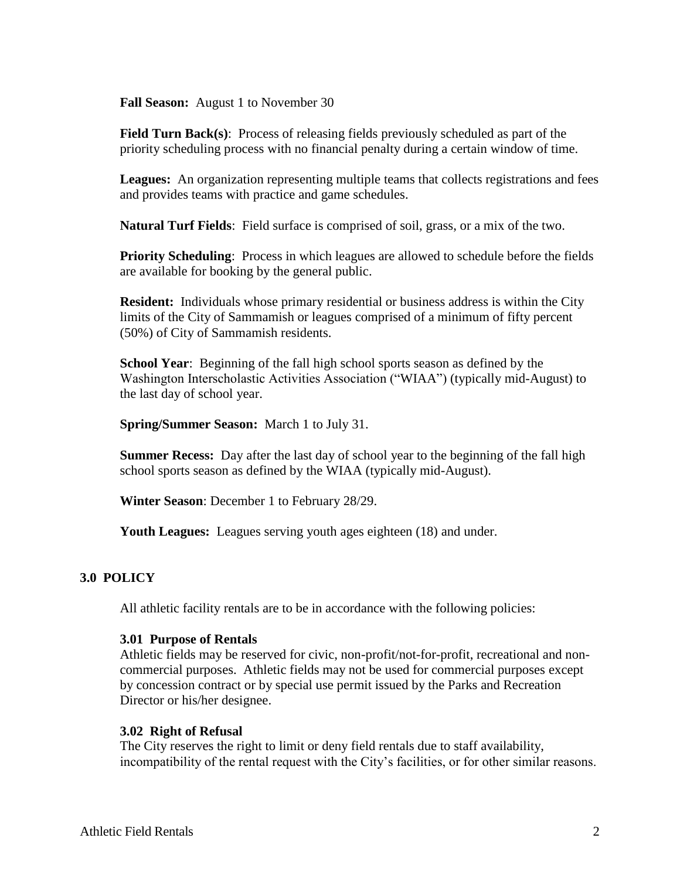**Fall Season:** August 1 to November 30

**Field Turn Back(s):** Process of releasing fields previously scheduled as part of the priority scheduling process with no financial penalty during a certain window of time.

**Leagues:** An organization representing multiple teams that collects registrations and fees and provides teams with practice and game schedules.

**Natural Turf Fields**: Field surface is comprised of soil, grass, or a mix of the two.

**Priority Scheduling:** Process in which leagues are allowed to schedule before the fields are available for booking by the general public.

**Resident:** Individuals whose primary residential or business address is within the City limits of the City of Sammamish or leagues comprised of a minimum of fifty percent (50%) of City of Sammamish residents.

**School Year**: Beginning of the fall high school sports season as defined by the Washington Interscholastic Activities Association ("WIAA") (typically mid-August) to the last day of school year.

**Spring/Summer Season:** March 1 to July 31.

**Summer Recess:** Day after the last day of school year to the beginning of the fall high school sports season as defined by the WIAA (typically mid-August).

**Winter Season**: December 1 to February 28/29.

**Youth Leagues:** Leagues serving youth ages eighteen (18) and under.

#### **3.0 POLICY**

All athletic facility rentals are to be in accordance with the following policies:

#### **3.01 Purpose of Rentals**

Athletic fields may be reserved for civic, non-profit/not-for-profit, recreational and noncommercial purposes. Athletic fields may not be used for commercial purposes except by concession contract or by special use permit issued by the Parks and Recreation Director or his/her designee.

#### **3.02 Right of Refusal**

The City reserves the right to limit or deny field rentals due to staff availability, incompatibility of the rental request with the City's facilities, or for other similar reasons.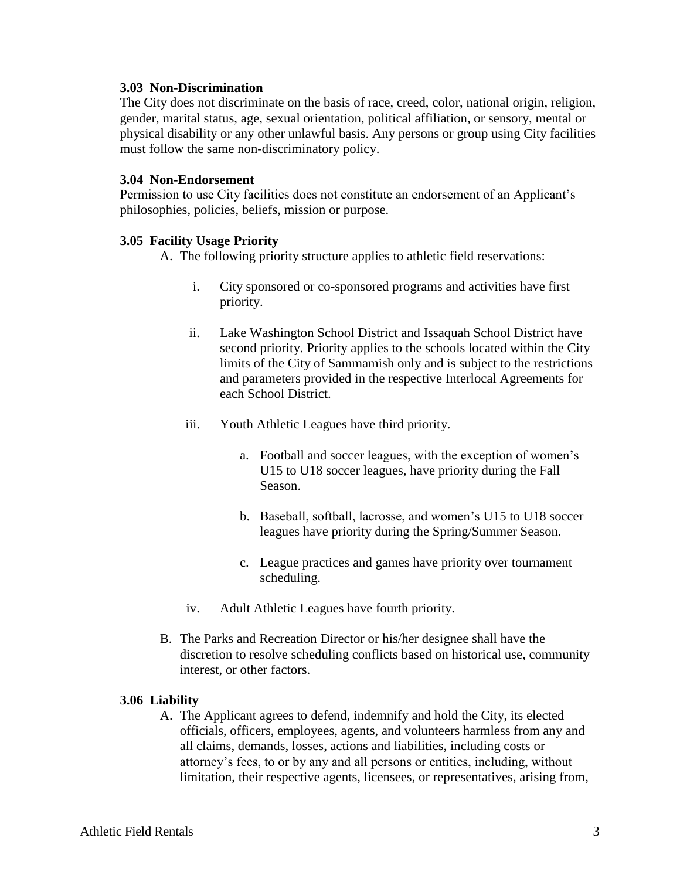### **3.03 Non-Discrimination**

The City does not discriminate on the basis of race, creed, color, national origin, religion, gender, marital status, age, sexual orientation, political affiliation, or sensory, mental or physical disability or any other unlawful basis. Any persons or group using City facilities must follow the same non-discriminatory policy.

### **3.04 Non-Endorsement**

Permission to use City facilities does not constitute an endorsement of an Applicant's philosophies, policies, beliefs, mission or purpose.

## **3.05 Facility Usage Priority**

A. The following priority structure applies to athletic field reservations:

- i. City sponsored or co-sponsored programs and activities have first priority.
- ii. Lake Washington School District and Issaquah School District have second priority. Priority applies to the schools located within the City limits of the City of Sammamish only and is subject to the restrictions and parameters provided in the respective Interlocal Agreements for each School District.
- iii. Youth Athletic Leagues have third priority.
	- a. Football and soccer leagues, with the exception of women's U15 to U18 soccer leagues, have priority during the Fall Season.
	- b. Baseball, softball, lacrosse, and women's U15 to U18 soccer leagues have priority during the Spring/Summer Season.
	- c. League practices and games have priority over tournament scheduling.
- iv. Adult Athletic Leagues have fourth priority.
- B. The Parks and Recreation Director or his/her designee shall have the discretion to resolve scheduling conflicts based on historical use, community interest, or other factors.

## **3.06 Liability**

A. The Applicant agrees to defend, indemnify and hold the City, its elected officials, officers, employees, agents, and volunteers harmless from any and all claims, demands, losses, actions and liabilities, including costs or attorney's fees, to or by any and all persons or entities, including, without limitation, their respective agents, licensees, or representatives, arising from,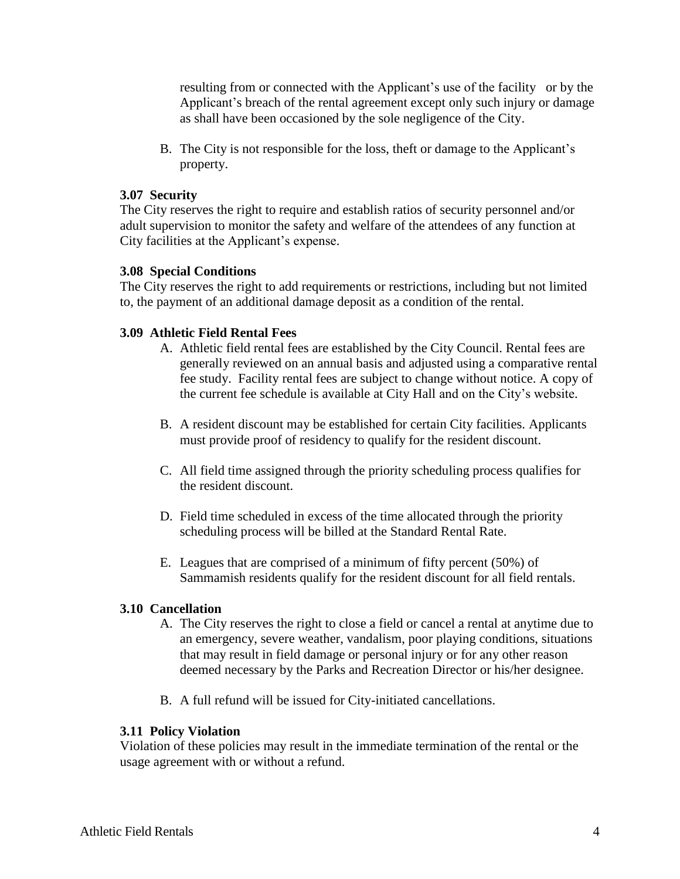resulting from or connected with the Applicant's use of the facility or by the Applicant's breach of the rental agreement except only such injury or damage as shall have been occasioned by the sole negligence of the City.

B. The City is not responsible for the loss, theft or damage to the Applicant's property.

## **3.07 Security**

The City reserves the right to require and establish ratios of security personnel and/or adult supervision to monitor the safety and welfare of the attendees of any function at City facilities at the Applicant's expense.

## **3.08 Special Conditions**

The City reserves the right to add requirements or restrictions, including but not limited to, the payment of an additional damage deposit as a condition of the rental.

## **3.09 Athletic Field Rental Fees**

- A. Athletic field rental fees are established by the City Council. Rental fees are generally reviewed on an annual basis and adjusted using a comparative rental fee study. Facility rental fees are subject to change without notice. A copy of the current fee schedule is available at City Hall and on the City's website.
- B. A resident discount may be established for certain City facilities. Applicants must provide proof of residency to qualify for the resident discount.
- C. All field time assigned through the priority scheduling process qualifies for the resident discount.
- D. Field time scheduled in excess of the time allocated through the priority scheduling process will be billed at the Standard Rental Rate.
- E. Leagues that are comprised of a minimum of fifty percent (50%) of Sammamish residents qualify for the resident discount for all field rentals.

## **3.10 Cancellation**

- A. The City reserves the right to close a field or cancel a rental at anytime due to an emergency, severe weather, vandalism, poor playing conditions, situations that may result in field damage or personal injury or for any other reason deemed necessary by the Parks and Recreation Director or his/her designee.
- B. A full refund will be issued for City-initiated cancellations.

## **3.11 Policy Violation**

Violation of these policies may result in the immediate termination of the rental or the usage agreement with or without a refund.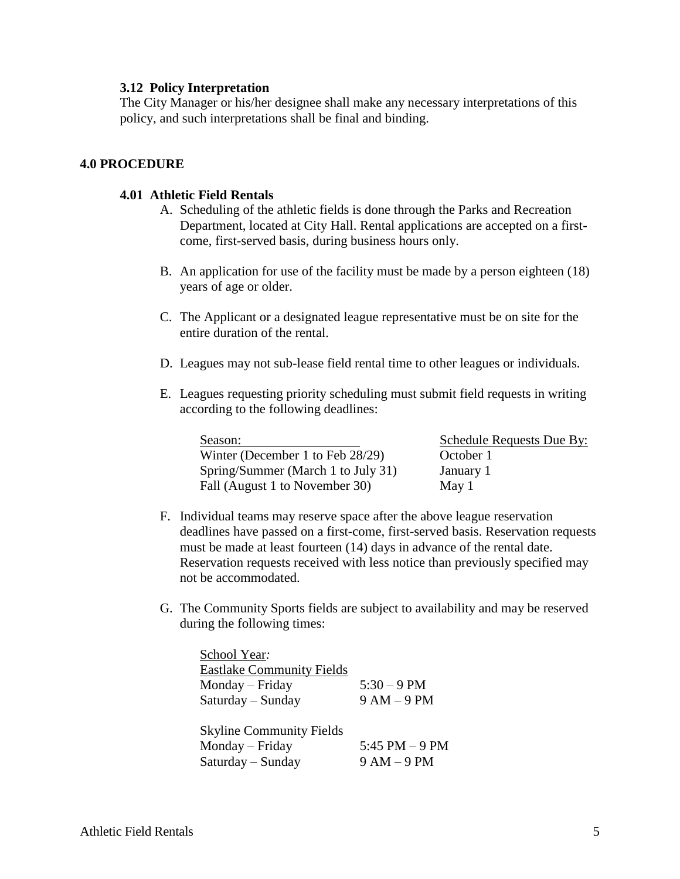### **3.12 Policy Interpretation**

The City Manager or his/her designee shall make any necessary interpretations of this policy, and such interpretations shall be final and binding.

## **4.0 PROCEDURE**

## **4.01 Athletic Field Rentals**

- A. Scheduling of the athletic fields is done through the Parks and Recreation Department, located at City Hall. Rental applications are accepted on a firstcome, first-served basis, during business hours only.
- B. An application for use of the facility must be made by a person eighteen (18) years of age or older.
- C. The Applicant or a designated league representative must be on site for the entire duration of the rental.
- D. Leagues may not sub-lease field rental time to other leagues or individuals.
- E. Leagues requesting priority scheduling must submit field requests in writing according to the following deadlines:

| Season:                            |
|------------------------------------|
| Winter (December 1 to Feb 28/29)   |
| Spring/Summer (March 1 to July 31) |
| Fall (August 1 to November 30)     |

Schedule Requests Due By: October 1 January 1  $May 1$ 

- F. Individual teams may reserve space after the above league reservation deadlines have passed on a first-come, first-served basis. Reservation requests must be made at least fourteen (14) days in advance of the rental date. Reservation requests received with less notice than previously specified may not be accommodated.
- G. The Community Sports fields are subject to availability and may be reserved during the following times:

| School Year:                     |                 |
|----------------------------------|-----------------|
| <b>Eastlake Community Fields</b> |                 |
| Monday – Friday                  | $5:30 - 9$ PM   |
| Saturday – Sunday                | $9 AM - 9 PM$   |
| <b>Skyline Community Fields</b>  |                 |
| Monday – Friday                  | 5:45 PM $-9$ PM |
| Saturday – Sunday                | $9 AM - 9 PM$   |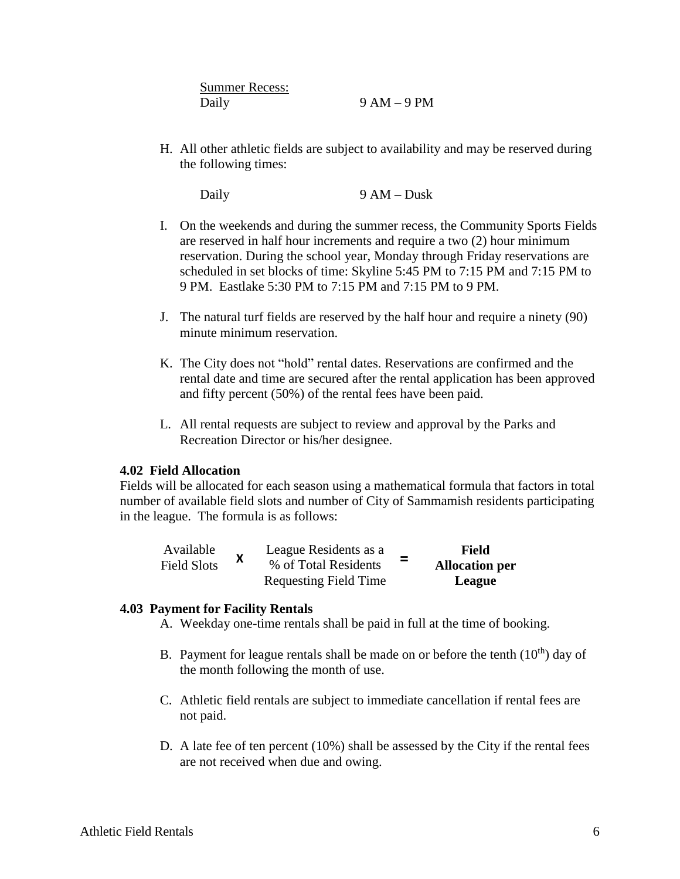| <b>Summer Recess:</b> |               |
|-----------------------|---------------|
| Daily                 | $9 AM - 9 PM$ |

H. All other athletic fields are subject to availability and may be reserved during the following times:

Daily 9 AM – Dusk

- I. On the weekends and during the summer recess, the Community Sports Fields are reserved in half hour increments and require a two (2) hour minimum reservation. During the school year, Monday through Friday reservations are scheduled in set blocks of time: Skyline 5:45 PM to 7:15 PM and 7:15 PM to 9 PM. Eastlake 5:30 PM to 7:15 PM and 7:15 PM to 9 PM.
- J. The natural turf fields are reserved by the half hour and require a ninety (90) minute minimum reservation.
- K. The City does not "hold" rental dates. Reservations are confirmed and the rental date and time are secured after the rental application has been approved and fifty percent (50%) of the rental fees have been paid.
- L. All rental requests are subject to review and approval by the Parks and Recreation Director or his/her designee.

## **4.02 Field Allocation**

Fields will be allocated for each season using a mathematical formula that factors in total number of available field slots and number of City of Sammamish residents participating in the league. The formula is as follows:

| Available          | $\mathbf{\Lambda}$ | League Residents as a        | Field                 |
|--------------------|--------------------|------------------------------|-----------------------|
| <b>Field Slots</b> |                    | % of Total Residents         | <b>Allocation per</b> |
|                    |                    | <b>Requesting Field Time</b> | League                |

#### **4.03 Payment for Facility Rentals**

A. Weekday one-time rentals shall be paid in full at the time of booking.

- B. Payment for league rentals shall be made on or before the tenth  $(10<sup>th</sup>)$  day of the month following the month of use.
- C. Athletic field rentals are subject to immediate cancellation if rental fees are not paid.
- D. A late fee of ten percent (10%) shall be assessed by the City if the rental fees are not received when due and owing.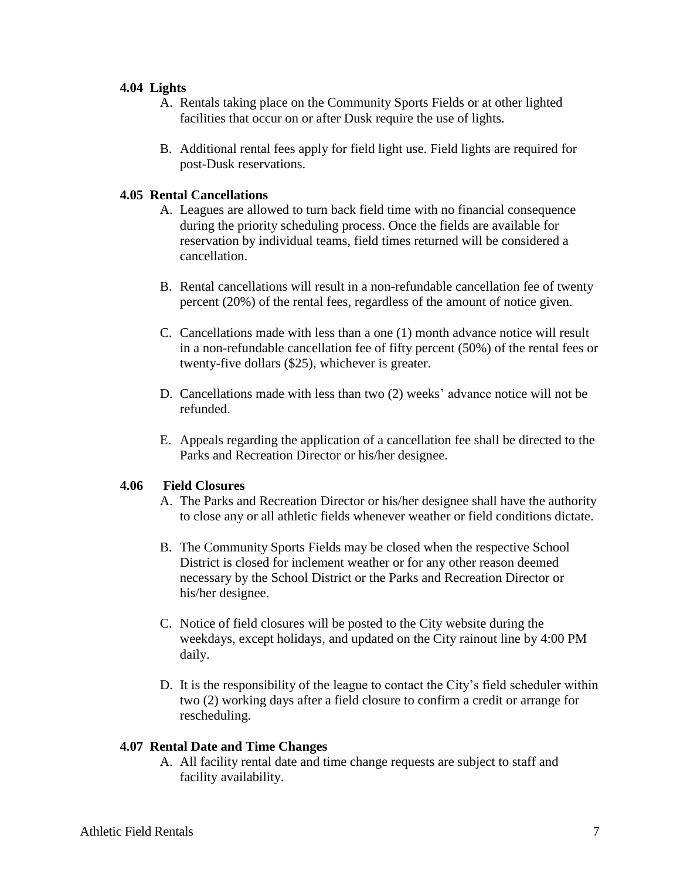### **4.04 Lights**

- A. Rentals taking place on the Community Sports Fields or at other lighted facilities that occur on or after Dusk require the use of lights.
- B. Additional rental fees apply for field light use. Field lights are required for post-Dusk reservations.

## **4.05 Rental Cancellations**

- A. Leagues are allowed to turn back field time with no financial consequence during the priority scheduling process. Once the fields are available for reservation by individual teams, field times returned will be considered a cancellation.
- B. Rental cancellations will result in a non-refundable cancellation fee of twenty percent (20%) of the rental fees, regardless of the amount of notice given.
- C. Cancellations made with less than a one (1) month advance notice will result in a non-refundable cancellation fee of fifty percent (50%) of the rental fees or twenty-five dollars (\$25), whichever is greater.
- D. Cancellations made with less than two (2) weeks' advance notice will not be refunded.
- E. Appeals regarding the application of a cancellation fee shall be directed to the Parks and Recreation Director or his/her designee.

### **4.06 Field Closures**

- A. The Parks and Recreation Director or his/her designee shall have the authority to close any or all athletic fields whenever weather or field conditions dictate.
- B. The Community Sports Fields may be closed when the respective School District is closed for inclement weather or for any other reason deemed necessary by the School District or the Parks and Recreation Director or his/her designee.
- C. Notice of field closures will be posted to the City website during the weekdays, except holidays, and updated on the City rainout line by 4:00 PM daily.
- D. It is the responsibility of the league to contact the City's field scheduler within two (2) working days after a field closure to confirm a credit or arrange for rescheduling.

#### **4.07 Rental Date and Time Changes**

A. All facility rental date and time change requests are subject to staff and facility availability.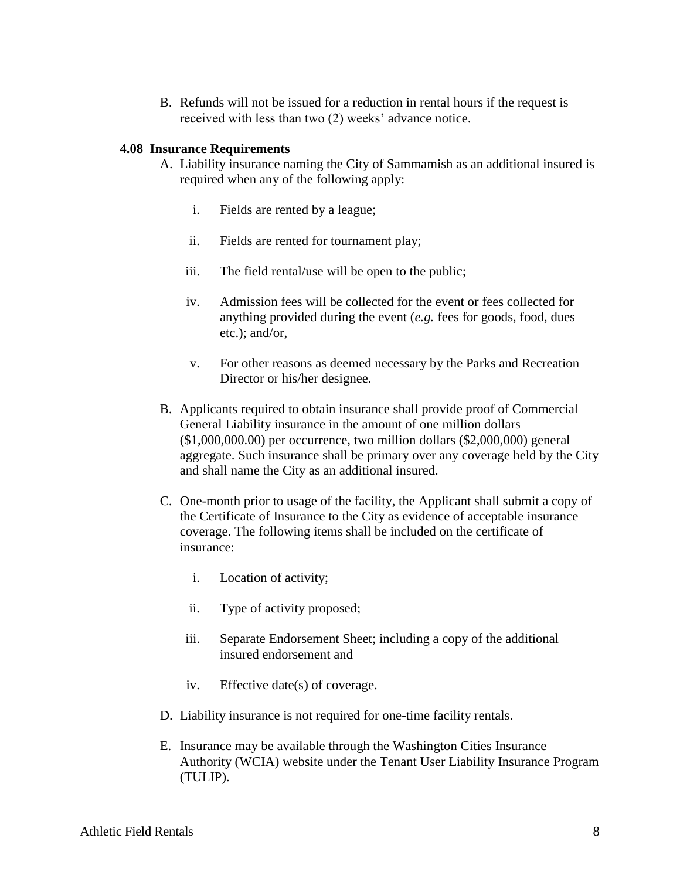B. Refunds will not be issued for a reduction in rental hours if the request is received with less than two (2) weeks' advance notice.

## **4.08 Insurance Requirements**

- A. Liability insurance naming the City of Sammamish as an additional insured is required when any of the following apply:
	- i. Fields are rented by a league;
	- ii. Fields are rented for tournament play;
	- iii. The field rental/use will be open to the public;
	- iv. Admission fees will be collected for the event or fees collected for anything provided during the event (*e.g.* fees for goods, food, dues etc.); and/or,
	- v. For other reasons as deemed necessary by the Parks and Recreation Director or his/her designee.
- B. Applicants required to obtain insurance shall provide proof of Commercial General Liability insurance in the amount of one million dollars (\$1,000,000.00) per occurrence, two million dollars (\$2,000,000) general aggregate. Such insurance shall be primary over any coverage held by the City and shall name the City as an additional insured.
- C. One-month prior to usage of the facility, the Applicant shall submit a copy of the Certificate of Insurance to the City as evidence of acceptable insurance coverage. The following items shall be included on the certificate of insurance:
	- i. Location of activity;
	- ii. Type of activity proposed;
	- iii. Separate Endorsement Sheet; including a copy of the additional insured endorsement and
	- iv. Effective date(s) of coverage.
- D. Liability insurance is not required for one-time facility rentals.
- E. Insurance may be available through the Washington Cities Insurance Authority (WCIA) website under the Tenant User Liability Insurance Program (TULIP).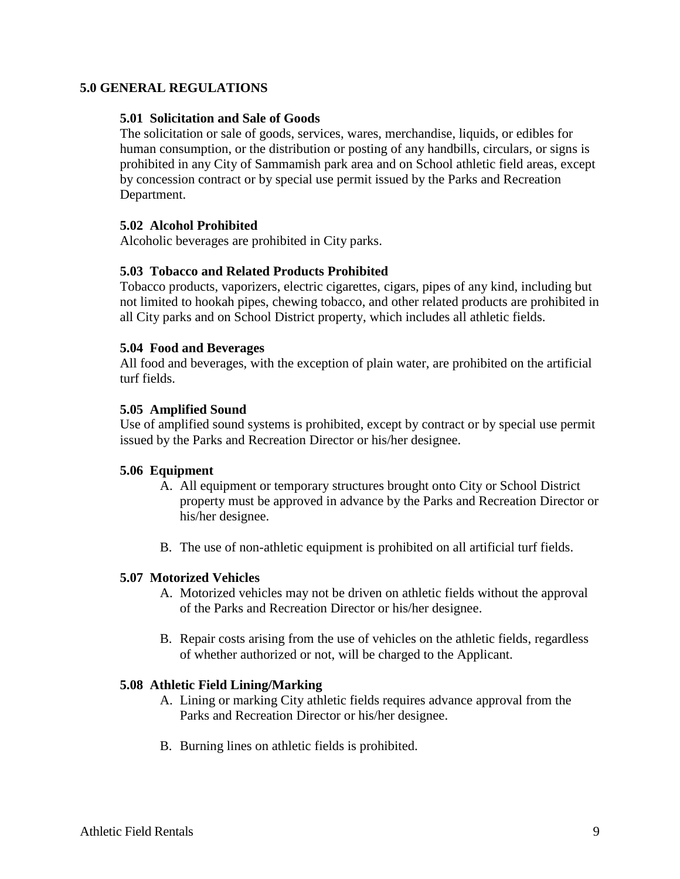## **5.0 GENERAL REGULATIONS**

### **5.01 Solicitation and Sale of Goods**

The solicitation or sale of goods, services, wares, merchandise, liquids, or edibles for human consumption, or the distribution or posting of any handbills, circulars, or signs is prohibited in any City of Sammamish park area and on School athletic field areas, except by concession contract or by special use permit issued by the Parks and Recreation Department.

### **5.02 Alcohol Prohibited**

Alcoholic beverages are prohibited in City parks.

## **5.03 Tobacco and Related Products Prohibited**

Tobacco products, vaporizers, electric cigarettes, cigars, pipes of any kind, including but not limited to hookah pipes, chewing tobacco, and other related products are prohibited in all City parks and on School District property, which includes all athletic fields.

### **5.04 Food and Beverages**

All food and beverages, with the exception of plain water, are prohibited on the artificial turf fields.

### **5.05 Amplified Sound**

Use of amplified sound systems is prohibited, except by contract or by special use permit issued by the Parks and Recreation Director or his/her designee.

#### **5.06 Equipment**

- A. All equipment or temporary structures brought onto City or School District property must be approved in advance by the Parks and Recreation Director or his/her designee.
- B. The use of non-athletic equipment is prohibited on all artificial turf fields.

#### **5.07 Motorized Vehicles**

- A. Motorized vehicles may not be driven on athletic fields without the approval of the Parks and Recreation Director or his/her designee.
- B. Repair costs arising from the use of vehicles on the athletic fields, regardless of whether authorized or not, will be charged to the Applicant.

#### **5.08 Athletic Field Lining/Marking**

- A. Lining or marking City athletic fields requires advance approval from the Parks and Recreation Director or his/her designee.
- B. Burning lines on athletic fields is prohibited.